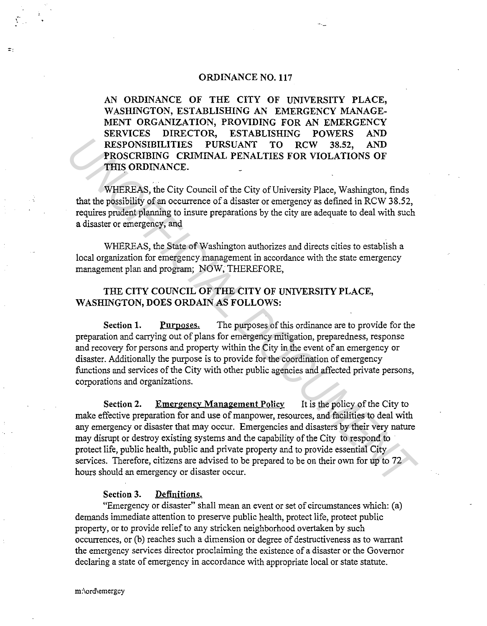#### ORDINANCE N0.117

AN. ORDINANCE OF THE CITY OF UNIVERSITY PLACE, WASHINGTON, ESTABLISHING AN EMERGENCY MANAGE-MENT ORGANIZATION, PROVIDING FOR AN EMERGENCY SERVICES DIRECTOR, ESTABLISHING POWERS AND RESPONSIBILITIES PURSUANT TO RCW 38.52, AND PROSCRIBING CRIMINAL PENALTIES FOR VIOLATIONS OF THIS ORDINANCE.

WHEREAS, the City Council of the City of University Place, Washington, finds that the possibility of an occurrence of a disaster or emergency as defined in RCW 38.52, requires prudent planning to insure preparations by the city are adequate to deal with such a disaster or emergency, and

WHEREAS, the State of Washington authorizes and directs cities to establish a local organization for emergency management in accordance with the state emergency management plan and program; NOW, THEREFORE,

## THE CITY COUNCIL OF THE CITY OF UNIVERSITY PLACE, WASHINGTON, DOES ORDAIN AS FOLLOWS:

Section 1. Purposes. The purposes of this ordinance are to provide for the preparation and carrying out of plans for emergency mitigation, preparedness, response and recovery for persons and property within the City in the event of an emergency or disaster. Additionally the purpose is to provide for the coordination of emergency functions and services of the City with other public agencies and affected private persons, corporations and organizations.

Section 2. Emergency Management Policy It is the policy of the City to make effective preparation for and use of manpower, resources, and facilities to deal with any emergency or disaster that may occur. Emergencies and disasters by their very nature may disrupt or destroy existing systems and the capability of the City to respond to protect life, public health, public and private property and to provide essential City services. Therefore, citizens are advised to be prepared to be on their own for up to 72 hours should an emergency or disaster occur. **EXEPONSIBILITIES PURSUANT** TO RCW 38.52, AND<br>**PROSCRIBING CRUMENAL PENALTIES** FOR VIOLATIONS OF<br>**PROSCRIBING CRUMENAL PENALTIES** FOR VIOLATIONS OF<br>**THIS ORDENANCE.**<br>WHEREAS, the City Council of the City of University Pl

### Section 3. Definitions.

"Emergency or disaster" shall mean an event or set of circumstances which: (a) demands immediate attention to preserve public health, protect life, protect public property, or to provide relief to any stricken neighborhood overtaken by such occurrences, or (b) reaches such a dimension or degree of destructiveness as to warrant the emergency services director proclaiming the existence of a disaster or the Governor declaring a state of emergency in accordance with appropriate local or state statute.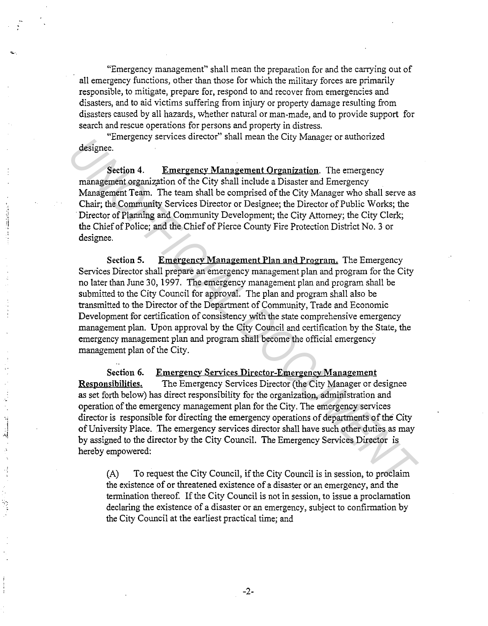"Emergency management" shall mean the preparation for and the carrying out of all emergency functions, other than those for which the military forces are primarily responsible, to mitigate, prepare for, respond to and recover from emergencies and disasters, and to aid victims suffering from injury or property damage resulting from disasters caused by all hazards, whether natural or man-made, and to provide support for search and rescue operations for persons and property in distress.

"Emergency services director" shall mean the City Manager or authorized designee.

I

Section 4. Emergency Management Organization. The emergency management organization of the City shall include a Disaster and Emergency Management Team. The team shall be comprised of the City Manager who shall serve as Chair; the Community Services Director or Designee; the Director of Public Works; the Director of Planning and Community Development; the City Attorney; the City Clerk; the Chief of Police; and the Chief of Pierce County Fire Protection District No. 3 or designee.

Section 5. Emergency Management Plan and Program. The Emergency Services Director shall prepare an emergency management plan and program for the City no later than June 30, 1997. The emergency management plan and program shall be submitted to the City Council for approval. The plan and program shall also be transmitted to the Director of the Department of Community, Trade and Economic Development for certification of consistency with the state comprehensive emergency management plan. Upon approval by the City Council and certification by the State, the emergency management plan and program shall become the official emergency management plan of the City. **Example 19**<br> **Example 19**<br> **Example 19**<br> **Example 19**<br> **Example 19**<br> **Example 10**<br> **Example 10**<br> **Management Organization** . The teams parallele a Disaster and Emergency<br>
Management Team. The team shall be compised of the

Section 6. Emergency Services Djrector-Emergencv Management Responsibilities. The Emergency Services Director (the City Manager or designee as set forth below) has direct responsibility for the organization, administration and operation of the emergency management plan for the City. The emergency services director is responsible for directing the emergency operations of departments of the City of University Place. The emergency services director shall have such other duties as may by assigned to the director by the City Council. The Emergency Services Director is hereby empowered:

(A) To request the City Council, if the City Council is in session, to proclaim the existence of or threatened existence of a disaster or an emergency, and the termination thereof. If the City Council is not in session, to issue a proclamation declaring the existence of a disaster or an emergency, subject to confirmation by the City Council at the earliest practical time; and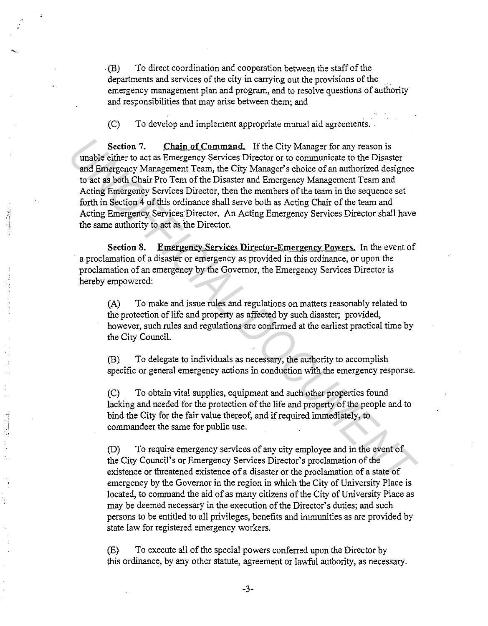. (B) To direct coordination and cooperation between the staff of the departments and services of the city in carrying out the provisions of the emergency management plan and program, and to resolve questions of authority and responsibilities that may arise between them; and

(C) To develop and implement appropriate mutual aid agreements.

 $\sim$  .

i ·.i

Section 7. Chain of Command. If the City Manager for any reason is unable either to act as Emergency Services Director or to communicate to the Disaster and Emergency Management Team, the City Manager's choice of an authorized designee to act as both Chair Pro Tem of the Disaster and Emergency Management Team and Acting Emergency Services Director, then the members of the team in the sequence set forth in Section 4 of this ordinance shall serve both as Acting Chair of the team and Acting Emergency Services Director. An Acting Emergency Services Director shall have the same authority to act as the Director. Section 7. Chain.of Command. If the City Manager for any reason is<br>
unable either to act as Emergency Services Director or to communicate to the Distate<br>
and Emergency Management Team, the City Manager's choice of an autho

Section 8. Emergency Services Director-Emergency Powers. In the event of a proclamation of a disaster or emergency as provided in this ordinance, or upon the proclamation of an emergency by the Governor, the Emergency Services Director is hereby empowered:

(A) To make and issue rules and regulations on matters reasonably related to the protection of life and property as affected by such disaster; provided, however, such rules and regulations are confirmed at the earliest practical time by the City Council.

(B). To delegate to individuals as necessary, the authority to accomplish specific or general emergency actions in conduction with the emergency response.

(C) To obtain vital supplies, equipment and such other properties found lacking and needed for the protection of the life and property of the people and to bind the City for the fair value thereof, and if required immediately, to commandeer the same for public use.

(D) To require emergency services of any city employee and in the event of the City Council's or Emergency Services Director's proclamation of the existence or threatened existence of a disaster or the proclamation of a state of emergency by the Governor in the region in which the City of University Place is located, to command the aid of as many citizens of the City of University Place as may be deemed necessary in the execution of the Director's duties; and such persons to be entitled to all privileges, benefits and immunities as are provided by state law for registered emergency workers.

(E) To execute all of the special powers conferred upon the Director by this ordinance, by any other statute, agreement or lawful authority, as necessary.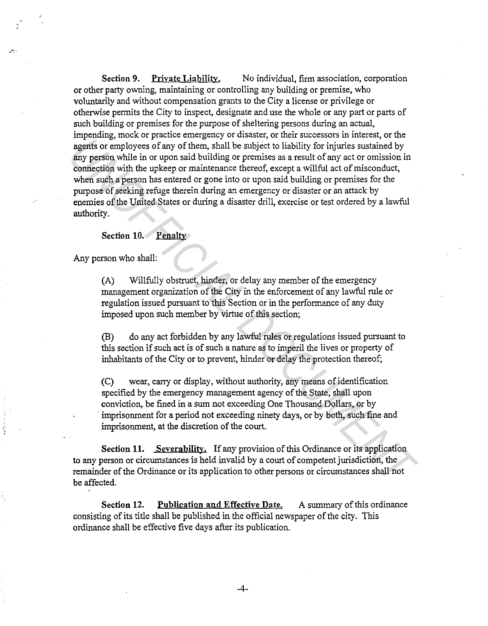Section 9. Private Liability. No individual, firm association, corporation or other party owning, maintaining or controlling any building or premise, who voluntarily and without compensation grants to the City a license or privilege or otherwise permits the City to inspect, designate and use the whole or any part or parts of such building or premises for the purpose of sheltering persons during an actual, impending, mock or practice emergency or disaster, or their successors in interest, or the agents or employees of any of them, shall be subject to liability for injuries sustained by any person while in or upon said building or premises as a result of any act or omission in connection with the upkeep or maintenance thereof, except a willful act of misconduct, when such a person has entered or gone into or upon said building or premises for the purpose of seeking refuge therein during an emergency or disaster or an attack by enemies of the United States or during a disaster drill, exercise or test ordered by a lawful authority. **Experimentally** about the interaction and building or permisses as a result of complexes of any of them, shall be subject to lability for injunes sustained by<br> **Experimentally** in or upon said building or permisses as a r

### Section 10. Penalty

Any person who shall:

-"':·

(A) Willfully obstruct, hinder, or delay any member of the emergency management organization of the City in the enforcement of any lawful rule or regulation issued pursuant to this Section or in the performance of any duty imposed upon such member by virtue of this section;

(B) do any act forbidden by any lawful rules or regulations issued pursuant to this section if such act is of such a nature as to imperil the lives or property of inhabitants of the City or to prevent, hinder or delay the protection thereof;

(C) wear, carry or display, without authority, any means of identification specified by the emergency management agency of the State, shall upon conviction, be fined in a sum not exceeding One Thousand Dollars, or by imprisonment for a period not exceeding ninety days, or by both, such fine and imprisonment, at the discretion of the court.

Section 11. Severability. If any provision of this Ordinance or its application to any person or circumstances is held invalid by a court of competent jurisdiction, the · remainder of the Ordinance or its application to other persons or circumstances shall not be affected.

Section 12. Publication and Effectiye Date. A summary of this ordinance consisting of its title shall be published in the official newspaper of the city. This ordinance shall be effective five days after its publication.